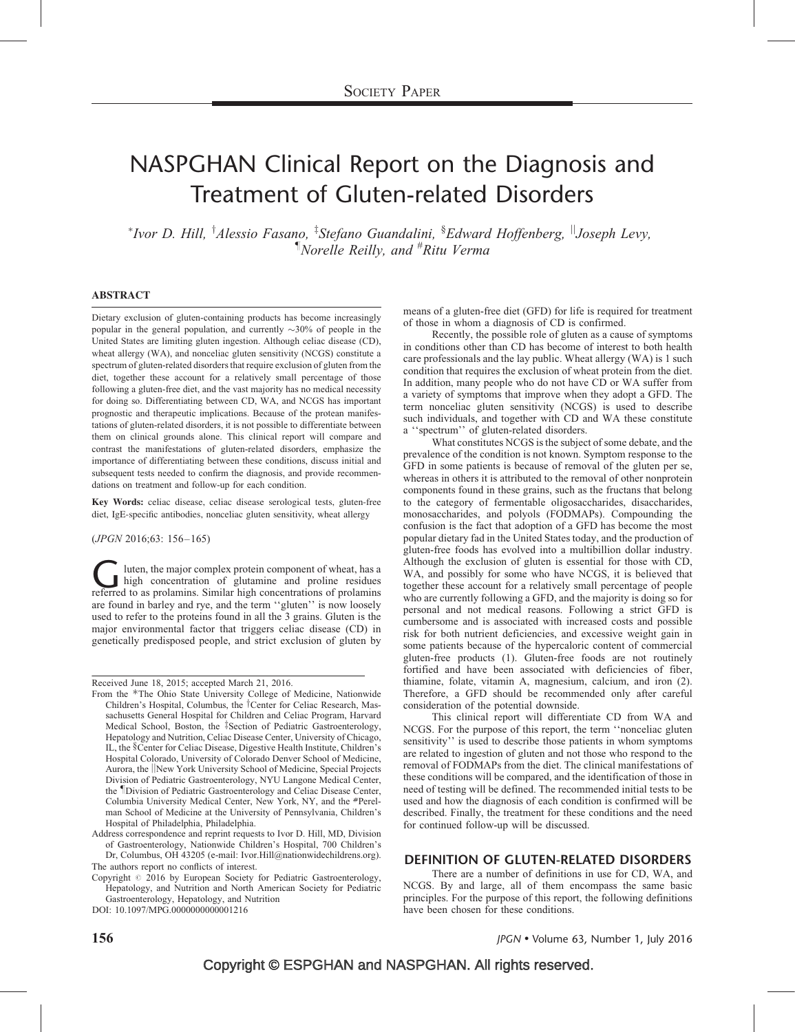# NASPGHAN Clinical Report on the Diagnosis and Treatment of Gluten-related Disorders

\*Ivor D. Hill, <sup>†</sup>Alessio Fasano, <sup>†</sup>Stefano Guandalini, <sup>§</sup>Edward Hoffenberg, <sup>||</sup>Joseph Levy, *Norelle Reilly, and <sup>#</sup>Ritu Verma* 

## **ABSTRACT**

Dietary exclusion of gluten-containing products has become increasingly popular in the general population, and currently  $\sim$ 30% of people in the United States are limiting gluten ingestion. Although celiac disease (CD), wheat allergy (WA), and nonceliac gluten sensitivity (NCGS) constitute a spectrum of gluten-related disorders that require exclusion of gluten from the diet, together these account for a relatively small percentage of those following a gluten-free diet, and the vast majority has no medical necessity for doing so. Differentiating between CD, WA, and NCGS has important prognostic and therapeutic implications. Because of the protean manifestations of gluten-related disorders, it is not possible to differentiate between them on clinical grounds alone. This clinical report will compare and contrast the manifestations of gluten-related disorders, emphasize the importance of differentiating between these conditions, discuss initial and subsequent tests needed to confirm the diagnosis, and provide recommendations on treatment and follow-up for each condition.

Key Words: celiac disease, celiac disease serological tests, gluten-free diet, IgE-specific antibodies, nonceliac gluten sensitivity, wheat allergy

(JPGN 2016;63: 156–165)

I luten, the major complex protein component of wheat, has a high concentration of glutamine and proline residues referred to as prolamins. Similar high concentrations of prolamins high concentration of glutamine and proline residues are found in barley and rye, and the term ''gluten'' is now loosely used to refer to the proteins found in all the 3 grains. Gluten is the major environmental factor that triggers celiac disease (CD) in genetically predisposed people, and strict exclusion of gluten by

Received June 18, 2015; accepted March 21, 2016.

DOI: [10.1097/MPG.0000000000001216](http://dx.doi.org/10.1097/MPG.0000000000001216)

means of a gluten-free diet (GFD) for life is required for treatment of those in whom a diagnosis of CD is confirmed.

Recently, the possible role of gluten as a cause of symptoms in conditions other than CD has become of interest to both health care professionals and the lay public. Wheat allergy (WA) is 1 such condition that requires the exclusion of wheat protein from the diet. In addition, many people who do not have CD or WA suffer from a variety of symptoms that improve when they adopt a GFD. The term nonceliac gluten sensitivity (NCGS) is used to describe such individuals, and together with CD and WA these constitute a ''spectrum'' of gluten-related disorders.

What constitutes NCGS is the subject of some debate, and the prevalence of the condition is not known. Symptom response to the GFD in some patients is because of removal of the gluten per se, whereas in others it is attributed to the removal of other nonprotein components found in these grains, such as the fructans that belong to the category of fermentable oligosaccharides, disaccharides, monosaccharides, and polyols (FODMAPs). Compounding the confusion is the fact that adoption of a GFD has become the most popular dietary fad in the United States today, and the production of gluten-free foods has evolved into a multibillion dollar industry. Although the exclusion of gluten is essential for those with CD, WA, and possibly for some who have NCGS, it is believed that together these account for a relatively small percentage of people who are currently following a GFD, and the majority is doing so for personal and not medical reasons. Following a strict GFD is cumbersome and is associated with increased costs and possible risk for both nutrient deficiencies, and excessive weight gain in some patients because of the hypercaloric content of commercial gluten-free products [\(1\).](#page-7-0) Gluten-free foods are not routinely fortified and have been associated with deficiencies of fiber, thiamine, folate, vitamin A, magnesium, calcium, and iron [\(2\).](#page-7-0) Therefore, a GFD should be recommended only after careful consideration of the potential downside.

This clinical report will differentiate CD from WA and NCGS. For the purpose of this report, the term ''nonceliac gluten sensitivity'' is used to describe those patients in whom symptoms are related to ingestion of gluten and not those who respond to the removal of FODMAPs from the diet. The clinical manifestations of these conditions will be compared, and the identification of those in need of testing will be defined. The recommended initial tests to be used and how the diagnosis of each condition is confirmed will be described. Finally, the treatment for these conditions and the need for continued follow-up will be discussed.

# DEFINITION OF GLUTEN-RELATED DISORDERS

There are a number of definitions in use for CD, WA, and NCGS. By and large, all of them encompass the same basic principles. For the purpose of this report, the following definitions have been chosen for these conditions.

From the -The Ohio State University College of Medicine, Nationwide Children's Hospital, Columbus, the <sup>†</sup>Center for Celiac Research, Massachusetts General Hospital for Children and Celiac Program, Harvard Medical School, Boston, the <sup>‡</sup>Section of Pediatric Gastroenterology, Hepatology and Nutrition, Celiac Disease Center, University of Chicago, IL, the §Center for Celiac Disease, Digestive Health Institute, Children's Hospital Colorado, University of Colorado Denver School of Medicine, Aurora, the SNew York University School of Medicine, Special Projects Division of Pediatric Gastroenterology, NYU Langone Medical Center, the *IDivision of Pediatric Gastroenterology and Celiac Disease Center,* Columbia University Medical Center, New York, NY, and the #Perelman School of Medicine at the University of Pennsylvania, Children's Hospital of Philadelphia, Philadelphia.

Address correspondence and reprint requests to Ivor D. Hill, MD, Division of Gastroenterology, Nationwide Children's Hospital, 700 Children's Dr, Columbus, OH 43205 (e-mail: Ivor.Hill@nationwidechildrens.org). The authors report no conflicts of interest.

Copyright  $\circ$  2016 by European Society for Pediatric Gastroenterology, Hepatology, and Nutrition and North American Society for Pediatric Gastroenterology, Hepatology, and Nutrition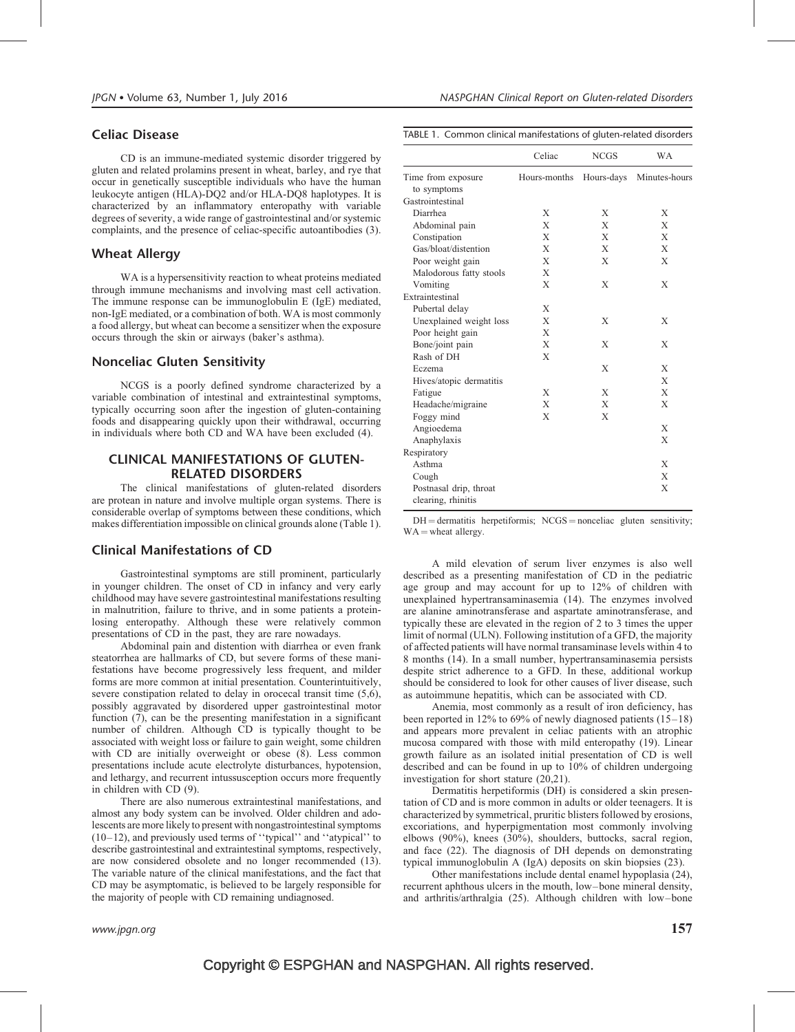TABLE 1. Common clinical manifestations of gluten-related disorders

# Celiac Disease

CD is an immune-mediated systemic disorder triggered by gluten and related prolamins present in wheat, barley, and rye that occur in genetically susceptible individuals who have the human leukocyte antigen (HLA)-DQ2 and/or HLA-DQ8 haplotypes. It is characterized by an inflammatory enteropathy with variable degrees of severity, a wide range of gastrointestinal and/or systemic complaints, and the presence of celiac-specific autoantibodies [\(3\)](#page-7-0).

# Wheat Allergy

WA is a hypersensitivity reaction to wheat proteins mediated through immune mechanisms and involving mast cell activation. The immune response can be immunoglobulin E (IgE) mediated, non-IgE mediated, or a combination of both. WA is most commonly a food allergy, but wheat can become a sensitizer when the exposure occurs through the skin or airways (baker's asthma).

# Nonceliac Gluten Sensitivity

NCGS is a poorly defined syndrome characterized by a variable combination of intestinal and extraintestinal symptoms, typically occurring soon after the ingestion of gluten-containing foods and disappearing quickly upon their withdrawal, occurring in individuals where both CD and WA have been excluded [\(4\).](#page-7-0)

# CLINICAL MANIFESTATIONS OF GLUTEN-RELATED DISORDERS

The clinical manifestations of gluten-related disorders are protean in nature and involve multiple organ systems. There is considerable overlap of symptoms between these conditions, which makes differentiation impossible on clinical grounds alone (Table 1).

# Clinical Manifestations of CD

Gastrointestinal symptoms are still prominent, particularly in younger children. The onset of CD in infancy and very early childhood may have severe gastrointestinal manifestations resulting in malnutrition, failure to thrive, and in some patients a proteinlosing enteropathy. Although these were relatively common presentations of CD in the past, they are rare nowadays.

Abdominal pain and distention with diarrhea or even frank steatorrhea are hallmarks of CD, but severe forms of these manifestations have become progressively less frequent, and milder forms are more common at initial presentation. Counterintuitively, severe constipation related to delay in orocecal transit time  $(5.6)$ , possibly aggravated by disordered upper gastrointestinal motor function [\(7\)](#page-7-0), can be the presenting manifestation in a significant number of children. Although CD is typically thought to be associated with weight loss or failure to gain weight, some children with CD are initially overweight or obese [\(8\)](#page-7-0). Less common presentations include acute electrolyte disturbances, hypotension, and lethargy, and recurrent intussusception occurs more frequently in children with CD [\(9\).](#page-7-0)

There are also numerous extraintestinal manifestations, and almost any body system can be involved. Older children and adolescents are more likely to present with nongastrointestinal symptoms [\(10–12\)](#page-7-0), and previously used terms of ''typical'' and ''atypical'' to describe gastrointestinal and extraintestinal symptoms, respectively, are now considered obsolete and no longer recommended [\(13\)](#page-7-0). The variable nature of the clinical manifestations, and the fact that CD may be asymptomatic, is believed to be largely responsible for the majority of people with CD remaining undiagnosed.

|                                              | Celiac       | <b>NCGS</b> | WA            |
|----------------------------------------------|--------------|-------------|---------------|
| Time from exposure                           | Hours-months | Hours-days  | Minutes-hours |
| to symptoms                                  |              |             |               |
| Gastrointestinal                             |              |             |               |
| Diarrhea                                     | X            | X           | X             |
| Abdominal pain                               | X            | X           | X             |
| Constipation                                 | X            | X           | X             |
| Gas/bloat/distention                         | X            | X           | X             |
| Poor weight gain                             | X            | X           | X             |
| Malodorous fatty stools                      | X            |             |               |
| Vomiting                                     | X            | X           | X             |
| Extraintestinal                              |              |             |               |
| Pubertal delay                               | X            |             |               |
| Unexplained weight loss                      | X            | X           | X             |
| Poor height gain                             | X            |             |               |
| Bone/joint pain                              | X            | X           | X             |
| Rash of DH                                   | X            |             |               |
| Eczema                                       |              | X           | X             |
| Hives/atopic dermatitis                      |              |             | X             |
| Fatigue                                      | X            | X           | X             |
| Headache/migraine                            | X            | X           | X             |
| Foggy mind                                   | X            | X           |               |
| Angioedema                                   |              |             | X             |
| Anaphylaxis                                  |              |             | X             |
| Respiratory                                  |              |             |               |
| Asthma                                       |              |             | X             |
| Cough                                        |              |             | X             |
| Postnasal drip, throat<br>clearing, rhinitis |              |             | Χ             |

 $DH =$  dermatitis herpetiformis;  $NCGS =$  nonceliac gluten sensitivity;  $WA =$  wheat allergy.

A mild elevation of serum liver enzymes is also well described as a presenting manifestation of CD in the pediatric age group and may account for up to 12% of children with unexplained hypertransaminasemia [\(14\).](#page-7-0) The enzymes involved are alanine aminotransferase and aspartate aminotransferase, and typically these are elevated in the region of 2 to 3 times the upper limit of normal (ULN). Following institution of a GFD, the majority of affected patients will have normal transaminase levels within 4 to 8 months [\(14\).](#page-7-0) In a small number, hypertransaminasemia persists despite strict adherence to a GFD. In these, additional workup should be considered to look for other causes of liver disease, such as autoimmune hepatitis, which can be associated with CD.

Anemia, most commonly as a result of iron deficiency, has been reported in 12% to 69% of newly diagnosed patients [\(15–18\)](#page-7-0) and appears more prevalent in celiac patients with an atrophic mucosa compared with those with mild enteropathy [\(19\).](#page-8-0) Linear growth failure as an isolated initial presentation of CD is well described and can be found in up to 10% of children undergoing investigation for short stature [\(20,21\).](#page-8-0)

Dermatitis herpetiformis (DH) is considered a skin presentation of CD and is more common in adults or older teenagers. It is characterized by symmetrical, pruritic blisters followed by erosions, excoriations, and hyperpigmentation most commonly involving elbows (90%), knees (30%), shoulders, buttocks, sacral region, and face [\(22\)](#page-8-0). The diagnosis of DH depends on demonstrating typical immunoglobulin A (IgA) deposits on skin biopsies [\(23\)](#page-8-0).

Other manifestations include dental enamel hypoplasia [\(24\),](#page-8-0) recurrent aphthous ulcers in the mouth, low–bone mineral density, and arthritis/arthralgia [\(25\).](#page-8-0) Although children with low–bone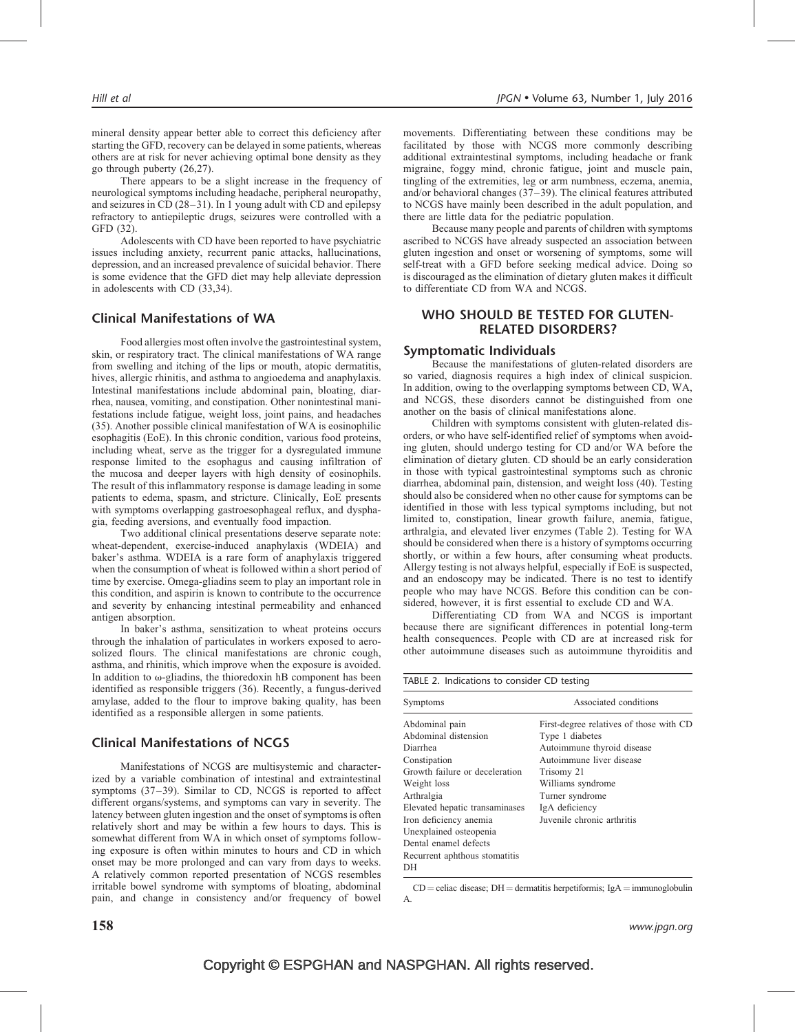<span id="page-2-0"></span>mineral density appear better able to correct this deficiency after starting the GFD, recovery can be delayed in some patients, whereas others are at risk for never achieving optimal bone density as they go through puberty [\(26,27\).](#page-8-0)

There appears to be a slight increase in the frequency of neurological symptoms including headache, peripheral neuropathy, and seizures in CD [\(28–31\).](#page-8-0) In 1 young adult with CD and epilepsy refractory to antiepileptic drugs, seizures were controlled with a GFD [\(32\)](#page-8-0).

Adolescents with CD have been reported to have psychiatric issues including anxiety, recurrent panic attacks, hallucinations, depression, and an increased prevalence of suicidal behavior. There is some evidence that the GFD diet may help alleviate depression in adolescents with CD [\(33,34\)](#page-8-0).

# Clinical Manifestations of WA

Food allergies most often involve the gastrointestinal system, skin, or respiratory tract. The clinical manifestations of WA range from swelling and itching of the lips or mouth, atopic dermatitis, hives, allergic rhinitis, and asthma to angioedema and anaphylaxis. Intestinal manifestations include abdominal pain, bloating, diarrhea, nausea, vomiting, and constipation. Other nonintestinal manifestations include fatigue, weight loss, joint pains, and headaches [\(35\)](#page-8-0). Another possible clinical manifestation of WA is eosinophilic esophagitis (EoE). In this chronic condition, various food proteins, including wheat, serve as the trigger for a dysregulated immune response limited to the esophagus and causing infiltration of the mucosa and deeper layers with high density of eosinophils. The result of this inflammatory response is damage leading in some patients to edema, spasm, and stricture. Clinically, EoE presents with symptoms overlapping gastroesophageal reflux, and dysphagia, feeding aversions, and eventually food impaction.

Two additional clinical presentations deserve separate note: wheat-dependent, exercise-induced anaphylaxis (WDEIA) and baker's asthma. WDEIA is a rare form of anaphylaxis triggered when the consumption of wheat is followed within a short period of time by exercise. Omega-gliadins seem to play an important role in this condition, and aspirin is known to contribute to the occurrence and severity by enhancing intestinal permeability and enhanced antigen absorption.

In baker's asthma, sensitization to wheat proteins occurs through the inhalation of particulates in workers exposed to aerosolized flours. The clinical manifestations are chronic cough, asthma, and rhinitis, which improve when the exposure is avoided. In addition to  $\omega$ -gliadins, the thioredoxin hB component has been identified as responsible triggers [\(36\).](#page-8-0) Recently, a fungus-derived amylase, added to the flour to improve baking quality, has been identified as a responsible allergen in some patients.

# Clinical Manifestations of NCGS

Manifestations of NCGS are multisystemic and characterized by a variable combination of intestinal and extraintestinal symptoms [\(37–39\)](#page-8-0). Similar to CD, NCGS is reported to affect different organs/systems, and symptoms can vary in severity. The latency between gluten ingestion and the onset of symptoms is often relatively short and may be within a few hours to days. This is somewhat different from WA in which onset of symptoms following exposure is often within minutes to hours and CD in which onset may be more prolonged and can vary from days to weeks. A relatively common reported presentation of NCGS resembles irritable bowel syndrome with symptoms of bloating, abdominal pain, and change in consistency and/or frequency of bowel movements. Differentiating between these conditions may be facilitated by those with NCGS more commonly describing additional extraintestinal symptoms, including headache or frank migraine, foggy mind, chronic fatigue, joint and muscle pain, tingling of the extremities, leg or arm numbness, eczema, anemia, and/or behavioral changes [\(37–39\)](#page-8-0). The clinical features attributed to NCGS have mainly been described in the adult population, and there are little data for the pediatric population.

Because many people and parents of children with symptoms ascribed to NCGS have already suspected an association between gluten ingestion and onset or worsening of symptoms, some will self-treat with a GFD before seeking medical advice. Doing so is discouraged as the elimination of dietary gluten makes it difficult to differentiate CD from WA and NCGS.

# WHO SHOULD BE TESTED FOR GLUTEN-RELATED DISORDERS?

# Symptomatic Individuals

Because the manifestations of gluten-related disorders are so varied, diagnosis requires a high index of clinical suspicion. In addition, owing to the overlapping symptoms between CD, WA, and NCGS, these disorders cannot be distinguished from one another on the basis of clinical manifestations alone.

Children with symptoms consistent with gluten-related disorders, or who have self-identified relief of symptoms when avoiding gluten, should undergo testing for CD and/or WA before the elimination of dietary gluten. CD should be an early consideration in those with typical gastrointestinal symptoms such as chronic diarrhea, abdominal pain, distension, and weight loss [\(40\)](#page-8-0). Testing should also be considered when no other cause for symptoms can be identified in those with less typical symptoms including, but not limited to, constipation, linear growth failure, anemia, fatigue, arthralgia, and elevated liver enzymes (Table 2). Testing for WA should be considered when there is a history of symptoms occurring shortly, or within a few hours, after consuming wheat products. Allergy testing is not always helpful, especially if EoE is suspected, and an endoscopy may be indicated. There is no test to identify people who may have NCGS. Before this condition can be considered, however, it is first essential to exclude CD and WA.

Differentiating CD from WA and NCGS is important because there are significant differences in potential long-term health consequences. People with CD are at increased risk for other autoimmune diseases such as autoimmune thyroiditis and

#### TABLE 2. Indications to consider CD testing

| Symptoms                                                                                                                                                                                                                                                                                | Associated conditions                                                                                                                                                                                                      |
|-----------------------------------------------------------------------------------------------------------------------------------------------------------------------------------------------------------------------------------------------------------------------------------------|----------------------------------------------------------------------------------------------------------------------------------------------------------------------------------------------------------------------------|
| Abdominal pain<br>Abdominal distension<br>Diarrhea<br>Constipation<br>Growth failure or deceleration<br>Weight loss<br>Arthralgia<br>Elevated hepatic transaminases<br>Iron deficiency anemia<br>Unexplained osteopenia<br>Dental enamel defects<br>Recurrent aphthous stomatitis<br>DН | First-degree relatives of those with CD<br>Type 1 diabetes<br>Autoimmune thyroid disease<br>Autoimmune liver disease<br>Trisomy 21<br>Williams syndrome<br>Turner syndrome<br>IgA deficiency<br>Juvenile chronic arthritis |
|                                                                                                                                                                                                                                                                                         |                                                                                                                                                                                                                            |

 $CD =$  celiac disease;  $DH =$  dermatitis herpetiformis; IgA = immunoglobulin A.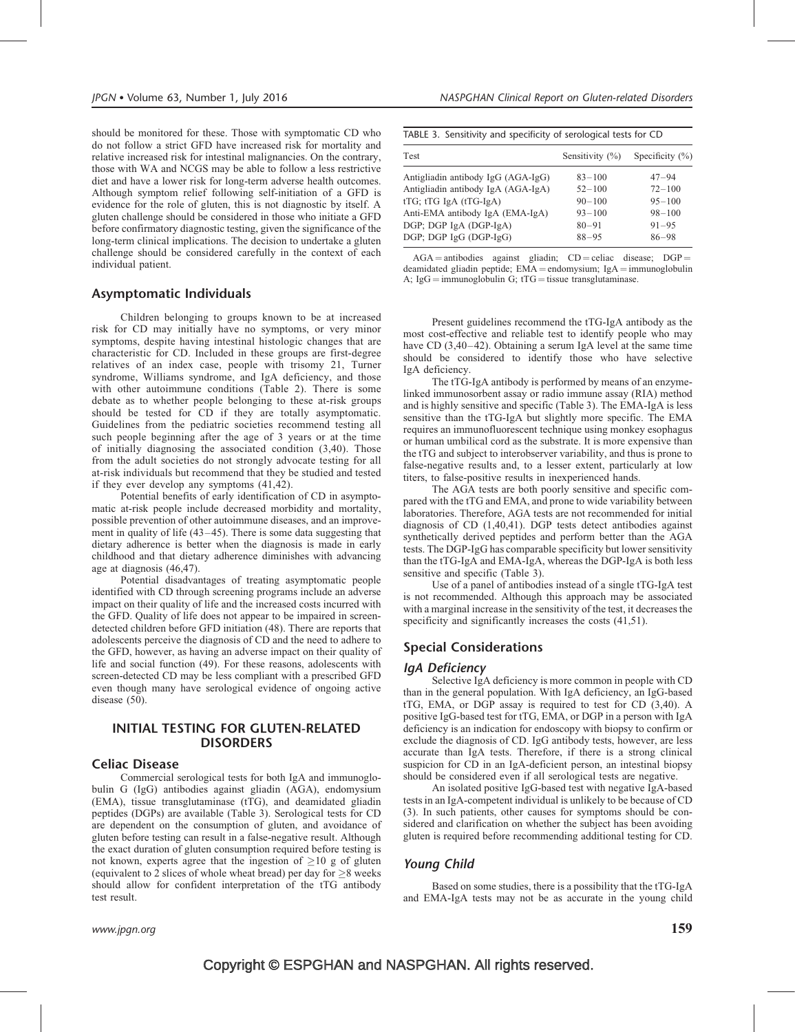should be monitored for these. Those with symptomatic CD who do not follow a strict GFD have increased risk for mortality and relative increased risk for intestinal malignancies. On the contrary, those with WA and NCGS may be able to follow a less restrictive diet and have a lower risk for long-term adverse health outcomes. Although symptom relief following self-initiation of a GFD is evidence for the role of gluten, this is not diagnostic by itself. A gluten challenge should be considered in those who initiate a GFD before confirmatory diagnostic testing, given the significance of the long-term clinical implications. The decision to undertake a gluten challenge should be considered carefully in the context of each individual patient.

# Asymptomatic Individuals

Children belonging to groups known to be at increased risk for CD may initially have no symptoms, or very minor symptoms, despite having intestinal histologic changes that are characteristic for CD. Included in these groups are first-degree relatives of an index case, people with trisomy 21, Turner syndrome, Williams syndrome, and IgA deficiency, and those with other autoimmune conditions [\(Table 2](#page-2-0)). There is some debate as to whether people belonging to these at-risk groups should be tested for CD if they are totally asymptomatic. Guidelines from the pediatric societies recommend testing all such people beginning after the age of 3 years or at the time of initially diagnosing the associated condition [\(3,40\)](#page-7-0). Those from the adult societies do not strongly advocate testing for all at-risk individuals but recommend that they be studied and tested if they ever develop any symptoms [\(41,42\).](#page-8-0)

Potential benefits of early identification of CD in asymptomatic at-risk people include decreased morbidity and mortality, possible prevention of other autoimmune diseases, and an improvement in quality of life [\(43–45\).](#page-8-0) There is some data suggesting that dietary adherence is better when the diagnosis is made in early childhood and that dietary adherence diminishes with advancing age at diagnosis [\(46,47\).](#page-8-0)

Potential disadvantages of treating asymptomatic people identified with CD through screening programs include an adverse impact on their quality of life and the increased costs incurred with the GFD. Quality of life does not appear to be impaired in screendetected children before GFD initiation [\(48\).](#page-8-0) There are reports that adolescents perceive the diagnosis of CD and the need to adhere to the GFD, however, as having an adverse impact on their quality of life and social function [\(49\).](#page-8-0) For these reasons, adolescents with screen-detected CD may be less compliant with a prescribed GFD even though many have serological evidence of ongoing active disease [\(50\)](#page-8-0).

# INITIAL TESTING FOR GLUTEN-RELATED **DISORDERS**

# Celiac Disease

Commercial serological tests for both IgA and immunoglobulin G (IgG) antibodies against gliadin (AGA), endomysium (EMA), tissue transglutaminase (tTG), and deamidated gliadin peptides (DGPs) are available (Table 3). Serological tests for CD are dependent on the consumption of gluten, and avoidance of gluten before testing can result in a false-negative result. Although the exact duration of gluten consumption required before testing is not known, experts agree that the ingestion of  $\geq 10$  g of gluten (equivalent to 2 slices of whole wheat bread) per day for  $\geq 8$  weeks should allow for confident interpretation of the tTG antibody test result.

| TABLE 3. Sensitivity and specificity of serological tests for CD                                                                                                                                   |                                                                                |                                                                               |  |
|----------------------------------------------------------------------------------------------------------------------------------------------------------------------------------------------------|--------------------------------------------------------------------------------|-------------------------------------------------------------------------------|--|
| <b>Test</b>                                                                                                                                                                                        | Sensitivity $(\%)$                                                             | Specificity $(\% )$                                                           |  |
| Antigliadin antibody IgG (AGA-IgG)<br>Antigliadin antibody IgA (AGA-IgA)<br>$tTG$ ; $tTG$ $IgA$ $(tTG-IgA)$<br>Anti-EMA antibody IgA (EMA-IgA)<br>DGP; DGP IgA (DGP-IgA)<br>DGP; DGP IgG (DGP-IgG) | $83 - 100$<br>$52 - 100$<br>$90 - 100$<br>$93 - 100$<br>$80 - 91$<br>$88 - 95$ | $47 - 94$<br>$72 - 100$<br>$95 - 100$<br>$98 - 100$<br>$91 - 95$<br>$86 - 98$ |  |

 $AGA =$  antibodies against gliadin;  $CD =$  celiac disease;  $DGP =$ deamidated gliadin peptide;  $EMA = endomysium$ ; IgA = immunoglobulin A;  $IgG = \text{immunoglobin G}$ ; tTG = tissue transglutaminase.

Present guidelines recommend the tTG-IgA antibody as the most cost-effective and reliable test to identify people who may have CD [\(3,40–42\).](#page-7-0) Obtaining a serum IgA level at the same time should be considered to identify those who have selective IgA deficiency.

The tTG-IgA antibody is performed by means of an enzymelinked immunosorbent assay or radio immune assay (RIA) method and is highly sensitive and specific (Table 3). The EMA-IgA is less sensitive than the tTG-IgA but slightly more specific. The EMA requires an immunofluorescent technique using monkey esophagus or human umbilical cord as the substrate. It is more expensive than the tTG and subject to interobserver variability, and thus is prone to false-negative results and, to a lesser extent, particularly at low titers, to false-positive results in inexperienced hands.

The AGA tests are both poorly sensitive and specific compared with the tTG and EMA, and prone to wide variability between laboratories. Therefore, AGA tests are not recommended for initial diagnosis of CD [\(1,40,41\)](#page-7-0). DGP tests detect antibodies against synthetically derived peptides and perform better than the AGA tests. The DGP-IgG has comparable specificity but lower sensitivity than the tTG-IgA and EMA-IgA, whereas the DGP-IgA is both less sensitive and specific (Table 3).

Use of a panel of antibodies instead of a single tTG-IgA test is not recommended. Although this approach may be associated with a marginal increase in the sensitivity of the test, it decreases the specificity and significantly increases the costs  $(41,51)$ .

# Special Considerations

## IgA Deficiency

Selective IgA deficiency is more common in people with CD than in the general population. With IgA deficiency, an IgG-based tTG, EMA, or DGP assay is required to test for CD [\(3,40\)](#page-7-0). A positive IgG-based test for tTG, EMA, or DGP in a person with IgA deficiency is an indication for endoscopy with biopsy to confirm or exclude the diagnosis of CD. IgG antibody tests, however, are less accurate than IgA tests. Therefore, if there is a strong clinical suspicion for CD in an IgA-deficient person, an intestinal biopsy should be considered even if all serological tests are negative.

An isolated positive IgG-based test with negative IgA-based tests in an IgA-competent individual is unlikely to be because of CD [\(3\)](#page-7-0). In such patients, other causes for symptoms should be considered and clarification on whether the subject has been avoiding gluten is required before recommending additional testing for CD.

## Young Child

Based on some studies, there is a possibility that the tTG-IgA and EMA-IgA tests may not be as accurate in the young child

# Copyright © ESPGHAN and NASPGHAN. All rights reserved.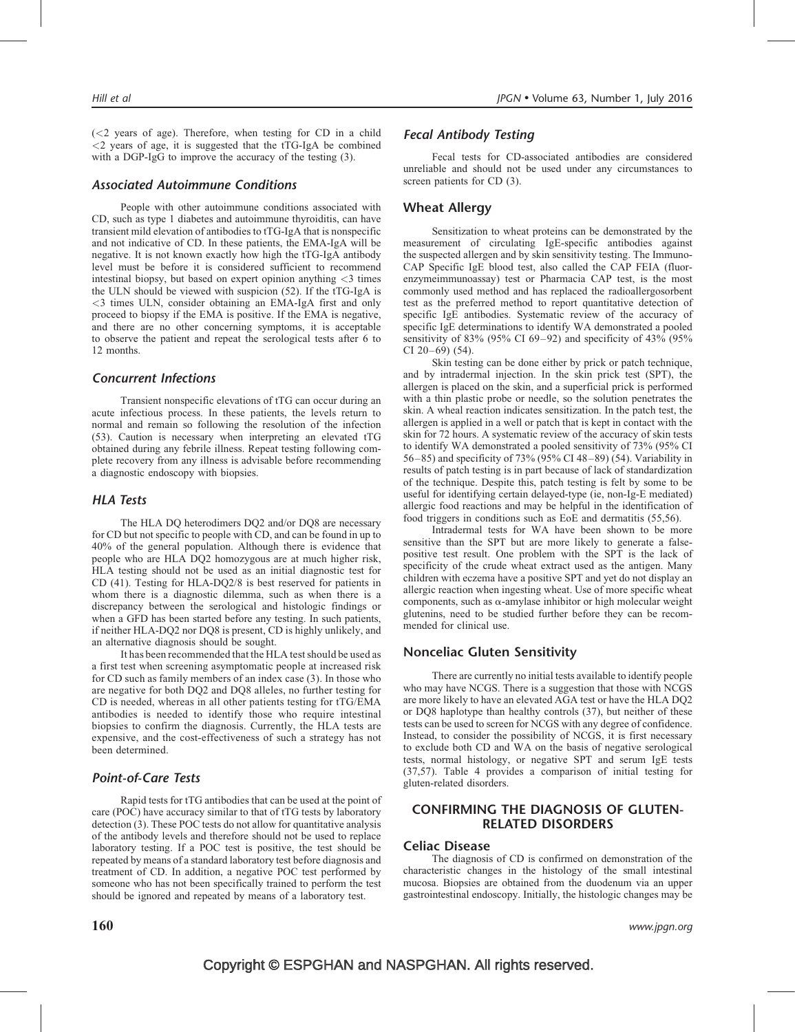(<2 years of age). Therefore, when testing for CD in a child  $\langle$  2 years of age, it is suggested that the tTG-IgA be combined with a DGP-IgG to improve the accuracy of the testing [\(3\)](#page-7-0).

# Associated Autoimmune Conditions

People with other autoimmune conditions associated with CD, such as type 1 diabetes and autoimmune thyroiditis, can have transient mild elevation of antibodies to tTG-IgA that is nonspecific and not indicative of CD. In these patients, the EMA-IgA will be negative. It is not known exactly how high the tTG-IgA antibody level must be before it is considered sufficient to recommend intestinal biopsy, but based on expert opinion anything <3 times the ULN should be viewed with suspicion [\(52\)](#page-8-0). If the tTG-IgA is <3 times ULN, consider obtaining an EMA-IgA first and only proceed to biopsy if the EMA is positive. If the EMA is negative, and there are no other concerning symptoms, it is acceptable to observe the patient and repeat the serological tests after 6 to 12 months.

# Concurrent Infections

Transient nonspecific elevations of tTG can occur during an acute infectious process. In these patients, the levels return to normal and remain so following the resolution of the infection [\(53\)](#page-8-0). Caution is necessary when interpreting an elevated tTG obtained during any febrile illness. Repeat testing following complete recovery from any illness is advisable before recommending a diagnostic endoscopy with biopsies.

# HLA Tests

The HLA DQ heterodimers DQ2 and/or DQ8 are necessary for CD but not specific to people with CD, and can be found in up to 40% of the general population. Although there is evidence that people who are HLA DQ2 homozygous are at much higher risk, HLA testing should not be used as an initial diagnostic test for CD [\(41\)](#page-8-0). Testing for HLA-DQ2/8 is best reserved for patients in whom there is a diagnostic dilemma, such as when there is a discrepancy between the serological and histologic findings or when a GFD has been started before any testing. In such patients, if neither HLA-DQ2 nor DQ8 is present, CD is highly unlikely, and an alternative diagnosis should be sought.

It has been recommended that the HLA test should be used as a first test when screening asymptomatic people at increased risk for CD such as family members of an index case [\(3\)](#page-7-0). In those who are negative for both DQ2 and DQ8 alleles, no further testing for CD is needed, whereas in all other patients testing for tTG/EMA antibodies is needed to identify those who require intestinal biopsies to confirm the diagnosis. Currently, the HLA tests are expensive, and the cost-effectiveness of such a strategy has not been determined.

# Point-of-Care Tests

Rapid tests for tTG antibodies that can be used at the point of care (POC) have accuracy similar to that of tTG tests by laboratory detection [\(3\).](#page-7-0) These POC tests do not allow for quantitative analysis of the antibody levels and therefore should not be used to replace laboratory testing. If a POC test is positive, the test should be repeated by means of a standard laboratory test before diagnosis and treatment of CD. In addition, a negative POC test performed by someone who has not been specifically trained to perform the test should be ignored and repeated by means of a laboratory test.

Fecal tests for CD-associated antibodies are considered unreliable and should not be used under any circumstances to screen patients for CD [\(3\)](#page-7-0).

# Wheat Allergy

Sensitization to wheat proteins can be demonstrated by the measurement of circulating IgE-specific antibodies against the suspected allergen and by skin sensitivity testing. The Immuno-CAP Specific IgE blood test, also called the CAP FEIA (fluorenzymeimmunoassay) test or Pharmacia CAP test, is the most commonly used method and has replaced the radioallergosorbent test as the preferred method to report quantitative detection of specific IgE antibodies. Systematic review of the accuracy of specific IgE determinations to identify WA demonstrated a pooled sensitivity of 83% (95% CI 69–92) and specificity of 43% (95% CI 20–69) [\(54\).](#page-8-0)

Skin testing can be done either by prick or patch technique, and by intradermal injection. In the skin prick test (SPT), the allergen is placed on the skin, and a superficial prick is performed with a thin plastic probe or needle, so the solution penetrates the skin. A wheal reaction indicates sensitization. In the patch test, the allergen is applied in a well or patch that is kept in contact with the skin for 72 hours. A systematic review of the accuracy of skin tests to identify WA demonstrated a pooled sensitivity of 73% (95% CI 56–85) and specificity of 73% (95% CI 48–89) [\(54\)](#page-8-0). Variability in results of patch testing is in part because of lack of standardization of the technique. Despite this, patch testing is felt by some to be useful for identifying certain delayed-type (ie, non-Ig-E mediated) allergic food reactions and may be helpful in the identification of food triggers in conditions such as EoE and dermatitis [\(55,56\).](#page-8-0)

Intradermal tests for WA have been shown to be more sensitive than the SPT but are more likely to generate a falsepositive test result. One problem with the SPT is the lack of specificity of the crude wheat extract used as the antigen. Many children with eczema have a positive SPT and yet do not display an allergic reaction when ingesting wheat. Use of more specific wheat components, such as  $\alpha$ -amylase inhibitor or high molecular weight glutenins, need to be studied further before they can be recommended for clinical use.

# Nonceliac Gluten Sensitivity

There are currently no initial tests available to identify people who may have NCGS. There is a suggestion that those with NCGS are more likely to have an elevated AGA test or have the HLA DQ2 or DQ8 haplotype than healthy controls [\(37\)](#page-8-0), but neither of these tests can be used to screen for NCGS with any degree of confidence. Instead, to consider the possibility of NCGS, it is first necessary to exclude both CD and WA on the basis of negative serological tests, normal histology, or negative SPT and serum IgE tests [\(37,57\)](#page-8-0). [Table 4](#page-5-0) provides a comparison of initial testing for gluten-related disorders.

# CONFIRMING THE DIAGNOSIS OF GLUTEN-RELATED DISORDERS

#### Celiac Disease

The diagnosis of CD is confirmed on demonstration of the characteristic changes in the histology of the small intestinal mucosa. Biopsies are obtained from the duodenum via an upper gastrointestinal endoscopy. Initially, the histologic changes may be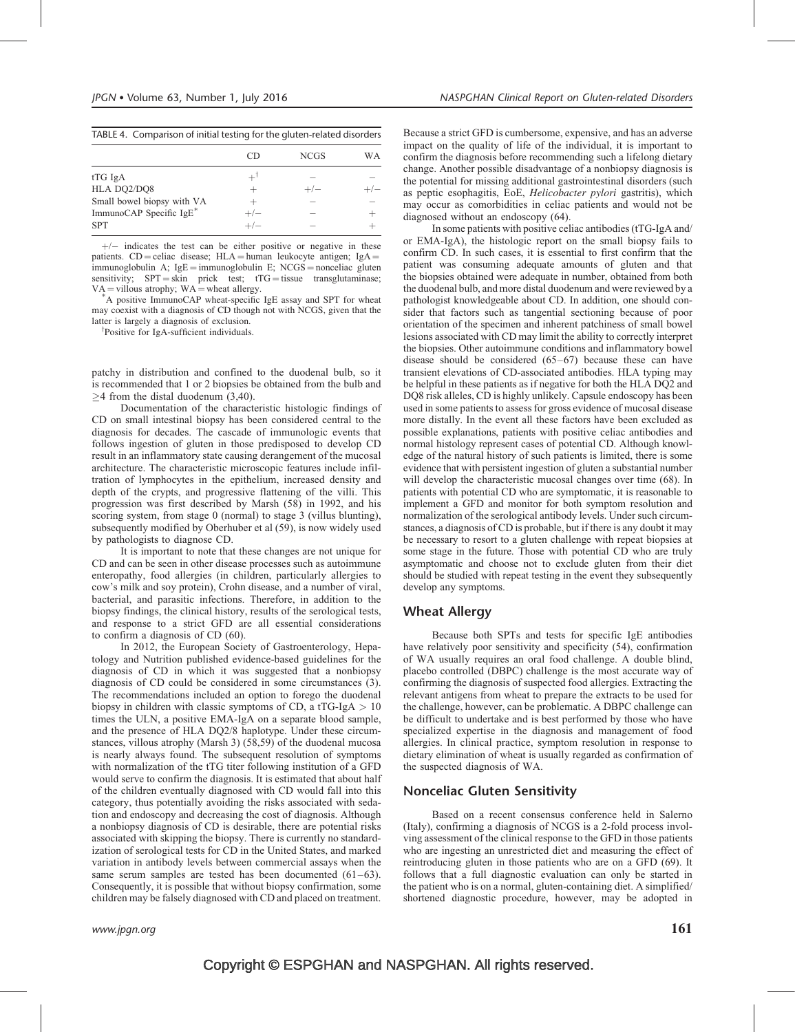#### <span id="page-5-0"></span>TABLE 4. Comparison of initial testing for the gluten-related disorders

|                            | CD    | <b>NCGS</b> | WΑ |
|----------------------------|-------|-------------|----|
| t <sup>TG</sup> IgA        |       |             |    |
| HLA DQ2/DQ8                |       | $+/-$       |    |
| Small bowel biopsy with VA |       |             |    |
| ImmunoCAP Specific IgE*    | $+/-$ |             |    |
| <b>SPT</b>                 |       |             |    |

 $+/-$  indicates the test can be either positive or negative in these patients. CD = celiac disease; HLA = human leukocyte antigen; IgA = immunoglobulin A;  $IgE = \text{immunoglobulin E}$ ; NCGS = nonceliac gluten  $sensitivity;$   $SPT = skin$  prick test;  $tTG = tissue$  transglutaminase;  $VA =$  villous atrophy;  $WA =$  wheat allergy.

A positive ImmunoCAP wheat-specific IgE assay and SPT for wheat may coexist with a diagnosis of CD though not with NCGS, given that the latter is largely a diagnosis of exclusion.

Positive for IgA-sufficient individuals.

patchy in distribution and confined to the duodenal bulb, so it is recommended that 1 or 2 biopsies be obtained from the bulb and  $>4$  from the distal duodenum [\(3,40\)](#page-7-0).

Documentation of the characteristic histologic findings of CD on small intestinal biopsy has been considered central to the diagnosis for decades. The cascade of immunologic events that follows ingestion of gluten in those predisposed to develop CD result in an inflammatory state causing derangement of the mucosal architecture. The characteristic microscopic features include infiltration of lymphocytes in the epithelium, increased density and depth of the crypts, and progressive flattening of the villi. This progression was first described by Marsh [\(58\)](#page-8-0) in 1992, and his scoring system, from stage 0 (normal) to stage 3 (villus blunting), subsequently modified by Oberhuber et al [\(59\)](#page-8-0), is now widely used by pathologists to diagnose CD.

It is important to note that these changes are not unique for CD and can be seen in other disease processes such as autoimmune enteropathy, food allergies (in children, particularly allergies to cow's milk and soy protein), Crohn disease, and a number of viral, bacterial, and parasitic infections. Therefore, in addition to the biopsy findings, the clinical history, results of the serological tests, and response to a strict GFD are all essential considerations to confirm a diagnosis of CD [\(60\).](#page-8-0)

In 2012, the European Society of Gastroenterology, Hepatology and Nutrition published evidence-based guidelines for the diagnosis of CD in which it was suggested that a nonbiopsy diagnosis of CD could be considered in some circumstances [\(3\)](#page-7-0). The recommendations included an option to forego the duodenal biopsy in children with classic symptoms of CD, a tTG-IgA  $> 10$ times the ULN, a positive EMA-IgA on a separate blood sample, and the presence of HLA DQ2/8 haplotype. Under these circumstances, villous atrophy (Marsh 3) [\(58,59\)](#page-8-0) of the duodenal mucosa is nearly always found. The subsequent resolution of symptoms with normalization of the tTG titer following institution of a GFD would serve to confirm the diagnosis. It is estimated that about half of the children eventually diagnosed with CD would fall into this category, thus potentially avoiding the risks associated with sedation and endoscopy and decreasing the cost of diagnosis. Although a nonbiopsy diagnosis of CD is desirable, there are potential risks associated with skipping the biopsy. There is currently no standardization of serological tests for CD in the United States, and marked variation in antibody levels between commercial assays when the same serum samples are tested has been documented [\(61–63\)](#page-8-0). Consequently, it is possible that without biopsy confirmation, some children may be falsely diagnosed with CD and placed on treatment. Because a strict GFD is cumbersome, expensive, and has an adverse impact on the quality of life of the individual, it is important to confirm the diagnosis before recommending such a lifelong dietary change. Another possible disadvantage of a nonbiopsy diagnosis is the potential for missing additional gastrointestinal disorders (such as peptic esophagitis, EoE, Helicobacter pylori gastritis), which may occur as comorbidities in celiac patients and would not be diagnosed without an endoscopy [\(64\).](#page-8-0)

In some patients with positive celiac antibodies (tTG-IgA and/ or EMA-IgA), the histologic report on the small biopsy fails to confirm CD. In such cases, it is essential to first confirm that the patient was consuming adequate amounts of gluten and that the biopsies obtained were adequate in number, obtained from both the duodenal bulb, and more distal duodenum and were reviewed by a pathologist knowledgeable about CD. In addition, one should consider that factors such as tangential sectioning because of poor orientation of the specimen and inherent patchiness of small bowel lesions associated with CD may limit the ability to correctly interpret the biopsies. Other autoimmune conditions and inflammatory bowel disease should be considered [\(65–67\)](#page-8-0) because these can have transient elevations of CD-associated antibodies. HLA typing may be helpful in these patients as if negative for both the HLA DQ2 and DQ8 risk alleles, CD is highly unlikely. Capsule endoscopy has been used in some patients to assess for gross evidence of mucosal disease more distally. In the event all these factors have been excluded as possible explanations, patients with positive celiac antibodies and normal histology represent cases of potential CD. Although knowledge of the natural history of such patients is limited, there is some evidence that with persistent ingestion of gluten a substantial number will develop the characteristic mucosal changes over time [\(68\)](#page-9-0). In patients with potential CD who are symptomatic, it is reasonable to implement a GFD and monitor for both symptom resolution and normalization of the serological antibody levels. Under such circumstances, a diagnosis of CD is probable, but if there is any doubt it may be necessary to resort to a gluten challenge with repeat biopsies at some stage in the future. Those with potential CD who are truly asymptomatic and choose not to exclude gluten from their diet should be studied with repeat testing in the event they subsequently develop any symptoms.

# Wheat Allergy

Because both SPTs and tests for specific IgE antibodies have relatively poor sensitivity and specificity [\(54\),](#page-8-0) confirmation of WA usually requires an oral food challenge. A double blind, placebo controlled (DBPC) challenge is the most accurate way of confirming the diagnosis of suspected food allergies. Extracting the relevant antigens from wheat to prepare the extracts to be used for the challenge, however, can be problematic. A DBPC challenge can be difficult to undertake and is best performed by those who have specialized expertise in the diagnosis and management of food allergies. In clinical practice, symptom resolution in response to dietary elimination of wheat is usually regarded as confirmation of the suspected diagnosis of WA.

### Nonceliac Gluten Sensitivity

Based on a recent consensus conference held in Salerno (Italy), confirming a diagnosis of NCGS is a 2-fold process involving assessment of the clinical response to the GFD in those patients who are ingesting an unrestricted diet and measuring the effect of reintroducing gluten in those patients who are on a GFD [\(69\).](#page-9-0) It follows that a full diagnostic evaluation can only be started in the patient who is on a normal, gluten-containing diet. A simplified/ shortened diagnostic procedure, however, may be adopted in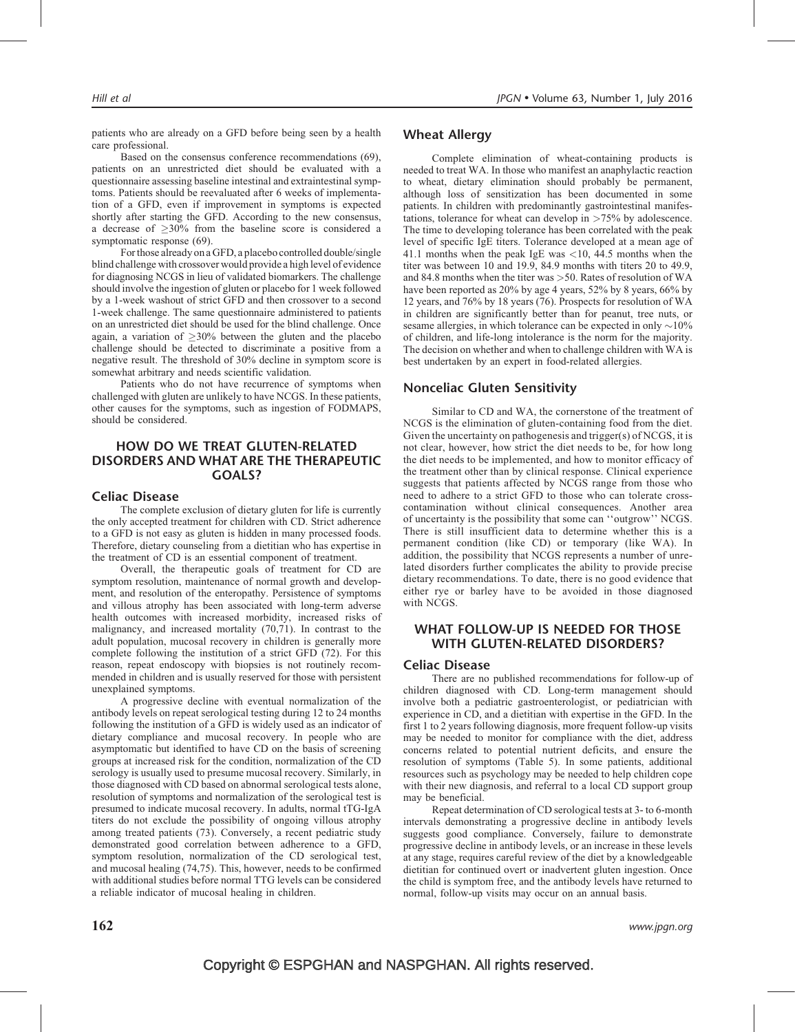patients who are already on a GFD before being seen by a health care professional.

Based on the consensus conference recommendations [\(69\)](#page-9-0), patients on an unrestricted diet should be evaluated with a questionnaire assessing baseline intestinal and extraintestinal symptoms. Patients should be reevaluated after 6 weeks of implementation of a GFD, even if improvement in symptoms is expected shortly after starting the GFD. According to the new consensus, a decrease of  $\geq$ 30% from the baseline score is considered a symptomatic response [\(69\)](#page-9-0).

For those already on a GFD, a placebo controlled double/single blind challenge with crossover would provide a high level of evidence for diagnosing NCGS in lieu of validated biomarkers. The challenge should involve the ingestion of gluten or placebo for 1 week followed by a 1-week washout of strict GFD and then crossover to a second 1-week challenge. The same questionnaire administered to patients on an unrestricted diet should be used for the blind challenge. Once again, a variation of  $\geq$ 30% between the gluten and the placebo challenge should be detected to discriminate a positive from a negative result. The threshold of 30% decline in symptom score is somewhat arbitrary and needs scientific validation.

Patients who do not have recurrence of symptoms when challenged with gluten are unlikely to have NCGS. In these patients, other causes for the symptoms, such as ingestion of FODMAPS, should be considered.

# HOW DO WE TREAT GLUTEN-RELATED DISORDERS AND WHAT ARE THE THERAPEUTIC GOALS?

#### Celiac Disease

The complete exclusion of dietary gluten for life is currently the only accepted treatment for children with CD. Strict adherence to a GFD is not easy as gluten is hidden in many processed foods. Therefore, dietary counseling from a dietitian who has expertise in the treatment of CD is an essential component of treatment.

Overall, the therapeutic goals of treatment for CD are symptom resolution, maintenance of normal growth and development, and resolution of the enteropathy. Persistence of symptoms and villous atrophy has been associated with long-term adverse health outcomes with increased morbidity, increased risks of malignancy, and increased mortality [\(70,71\)](#page-9-0). In contrast to the adult population, mucosal recovery in children is generally more complete following the institution of a strict GFD [\(72\).](#page-9-0) For this reason, repeat endoscopy with biopsies is not routinely recommended in children and is usually reserved for those with persistent unexplained symptoms.

A progressive decline with eventual normalization of the antibody levels on repeat serological testing during 12 to 24 months following the institution of a GFD is widely used as an indicator of dietary compliance and mucosal recovery. In people who are asymptomatic but identified to have CD on the basis of screening groups at increased risk for the condition, normalization of the CD serology is usually used to presume mucosal recovery. Similarly, in those diagnosed with CD based on abnormal serological tests alone, resolution of symptoms and normalization of the serological test is presumed to indicate mucosal recovery. In adults, normal tTG-IgA titers do not exclude the possibility of ongoing villous atrophy among treated patients [\(73\)](#page-9-0). Conversely, a recent pediatric study demonstrated good correlation between adherence to a GFD, symptom resolution, normalization of the CD serological test, and mucosal healing [\(74,75\)](#page-9-0). This, however, needs to be confirmed with additional studies before normal TTG levels can be considered a reliable indicator of mucosal healing in children.

# Wheat Allergy

Complete elimination of wheat-containing products is needed to treat WA. In those who manifest an anaphylactic reaction to wheat, dietary elimination should probably be permanent, although loss of sensitization has been documented in some patients. In children with predominantly gastrointestinal manifestations, tolerance for wheat can develop in >75% by adolescence. The time to developing tolerance has been correlated with the peak level of specific IgE titers. Tolerance developed at a mean age of 41.1 months when the peak IgE was <10, 44.5 months when the titer was between 10 and 19.9, 84.9 months with titers 20 to 49.9, and 84.8 months when the titer was >50. Rates of resolution of WA have been reported as 20% by age 4 years, 52% by 8 years, 66% by 12 years, and 76% by 18 years [\(76\)](#page-9-0). Prospects for resolution of WA in children are significantly better than for peanut, tree nuts, or sesame allergies, in which tolerance can be expected in only  $\sim$ 10% of children, and life-long intolerance is the norm for the majority. The decision on whether and when to challenge children with WA is best undertaken by an expert in food-related allergies.

# Nonceliac Gluten Sensitivity

Similar to CD and WA, the cornerstone of the treatment of NCGS is the elimination of gluten-containing food from the diet. Given the uncertainty on pathogenesis and trigger(s) of NCGS, it is not clear, however, how strict the diet needs to be, for how long the diet needs to be implemented, and how to monitor efficacy of the treatment other than by clinical response. Clinical experience suggests that patients affected by NCGS range from those who need to adhere to a strict GFD to those who can tolerate crosscontamination without clinical consequences. Another area of uncertainty is the possibility that some can ''outgrow'' NCGS. There is still insufficient data to determine whether this is a permanent condition (like CD) or temporary (like WA). In addition, the possibility that NCGS represents a number of unrelated disorders further complicates the ability to provide precise dietary recommendations. To date, there is no good evidence that either rye or barley have to be avoided in those diagnosed with NCGS.

# WHAT FOLLOW-UP IS NEEDED FOR THOSE WITH GLUTEN-RELATED DISORDERS?

#### Celiac Disease

There are no published recommendations for follow-up of children diagnosed with CD. Long-term management should involve both a pediatric gastroenterologist, or pediatrician with experience in CD, and a dietitian with expertise in the GFD. In the first 1 to 2 years following diagnosis, more frequent follow-up visits may be needed to monitor for compliance with the diet, address concerns related to potential nutrient deficits, and ensure the resolution of symptoms [\(Table 5\)](#page-7-0). In some patients, additional resources such as psychology may be needed to help children cope with their new diagnosis, and referral to a local CD support group may be beneficial.

Repeat determination of CD serological tests at 3- to 6-month intervals demonstrating a progressive decline in antibody levels suggests good compliance. Conversely, failure to demonstrate progressive decline in antibody levels, or an increase in these levels at any stage, requires careful review of the diet by a knowledgeable dietitian for continued overt or inadvertent gluten ingestion. Once the child is symptom free, and the antibody levels have returned to normal, follow-up visits may occur on an annual basis.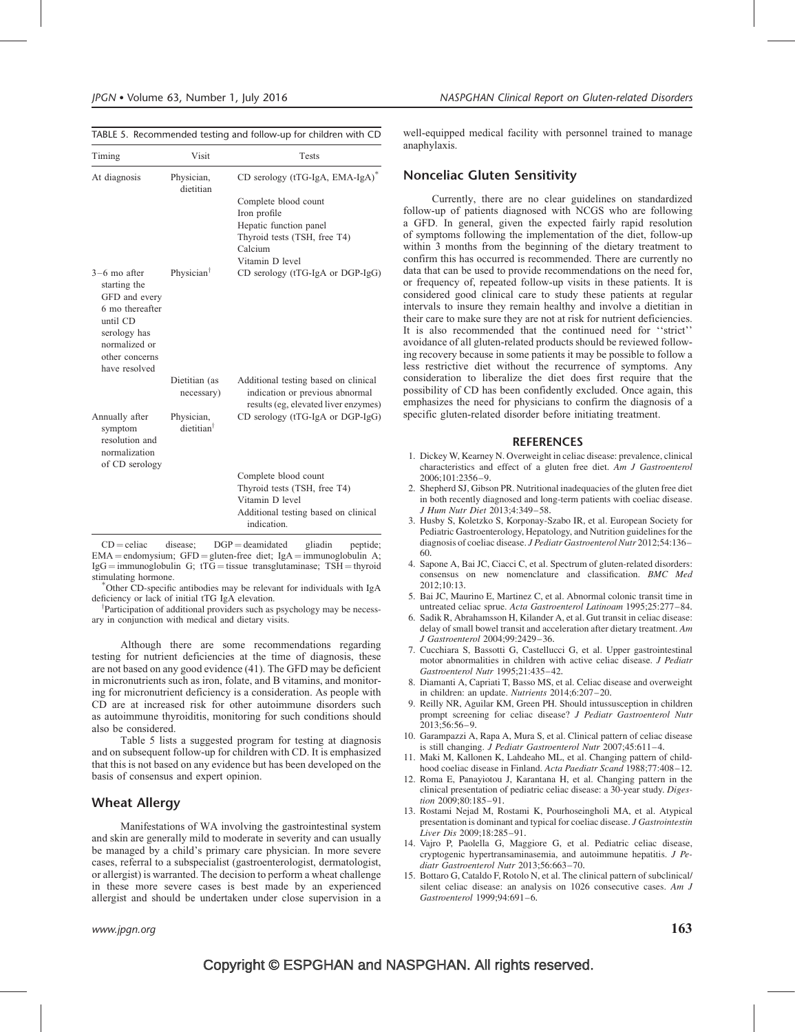| Timing                                                                                                                                             | Visit                                | <b>Tests</b>                                                                                                                                 |
|----------------------------------------------------------------------------------------------------------------------------------------------------|--------------------------------------|----------------------------------------------------------------------------------------------------------------------------------------------|
| At diagnosis                                                                                                                                       | Physician,<br>dietitian              | CD serology (tTG-IgA, EMA-IgA)*<br>Complete blood count<br>Iron profile<br>Hepatic function panel<br>Thyroid tests (TSH, free T4)<br>Calcium |
|                                                                                                                                                    |                                      | Vitamin D level                                                                                                                              |
| $3-6$ mo after<br>starting the<br>GFD and every<br>6 mo thereafter<br>until CD<br>serology has<br>normalized or<br>other concerns<br>have resolved | Physician <sup>†</sup>               | $CD$ serology (tTG-IgA or DGP-IgG)                                                                                                           |
|                                                                                                                                                    | Dietitian (as<br>necessary)          | Additional testing based on clinical<br>indication or previous abnormal<br>results (eg, elevated liver enzymes)                              |
| Annually after<br>symptom<br>resolution and<br>normalization<br>of CD serology                                                                     | Physician,<br>dietitian <sup>†</sup> | CD serology (tTG-IgA or DGP-IgG)                                                                                                             |
|                                                                                                                                                    |                                      | Complete blood count                                                                                                                         |
|                                                                                                                                                    |                                      | Thyroid tests (TSH, free T4)                                                                                                                 |
|                                                                                                                                                    |                                      | Vitamin D level                                                                                                                              |
|                                                                                                                                                    |                                      | Additional testing based on clinical<br>indication.                                                                                          |

<span id="page-7-0"></span>TABLE 5. Recommended testing and follow-up for children with CD

 $CD =$ celiac disease;  $DGP =$ deamidated gliadin peptide;  $EMA = endomysium$ ;  $GFD = gluten-free diet$ ; IgA = immunoglobulin A;  $IgG = \text{immunoglobin } G$ ; tT $\overline{G} = \text{tissue transglutaminase}$ ; TSH = thyroid stimulating hormone.

Other CD-specific antibodies may be relevant for individuals with IgA deficiency or lack of initial tTG IgA elevation.

Participation of additional providers such as psychology may be necessary in conjunction with medical and dietary visits.

Although there are some recommendations regarding testing for nutrient deficiencies at the time of diagnosis, these are not based on any good evidence [\(41\).](#page-8-0) The GFD may be deficient in micronutrients such as iron, folate, and B vitamins, and monitoring for micronutrient deficiency is a consideration. As people with CD are at increased risk for other autoimmune disorders such as autoimmune thyroiditis, monitoring for such conditions should also be considered.

Table 5 lists a suggested program for testing at diagnosis and on subsequent follow-up for children with CD. It is emphasized that this is not based on any evidence but has been developed on the basis of consensus and expert opinion.

# Wheat Allergy

Manifestations of WA involving the gastrointestinal system and skin are generally mild to moderate in severity and can usually be managed by a child's primary care physician. In more severe cases, referral to a subspecialist (gastroenterologist, dermatologist, or allergist) is warranted. The decision to perform a wheat challenge in these more severe cases is best made by an experienced allergist and should be undertaken under close supervision in a

www.jpgn.org  $\hspace{1cm} 163$ 

well-equipped medical facility with personnel trained to manage anaphylaxis.

# Nonceliac Gluten Sensitivity

Currently, there are no clear guidelines on standardized follow-up of patients diagnosed with NCGS who are following a GFD. In general, given the expected fairly rapid resolution of symptoms following the implementation of the diet, follow-up within 3 months from the beginning of the dietary treatment to confirm this has occurred is recommended. There are currently no data that can be used to provide recommendations on the need for, or frequency of, repeated follow-up visits in these patients. It is considered good clinical care to study these patients at regular intervals to insure they remain healthy and involve a dietitian in their care to make sure they are not at risk for nutrient deficiencies. It is also recommended that the continued need for ''strict'' avoidance of all gluten-related products should be reviewed following recovery because in some patients it may be possible to follow a less restrictive diet without the recurrence of symptoms. Any consideration to liberalize the diet does first require that the possibility of CD has been confidently excluded. Once again, this emphasizes the need for physicians to confirm the diagnosis of a specific gluten-related disorder before initiating treatment.

#### **REFERENCES**

- 1. Dickey W, Kearney N. Overweight in celiac disease: prevalence, clinical characteristics and effect of a gluten free diet. Am J Gastroenterol 2006;101:2356–9.
- 2. Shepherd SJ, Gibson PR. Nutritional inadequacies of the gluten free diet in both recently diagnosed and long-term patients with coeliac disease. J Hum Nutr Diet 2013;4:349–58.
- 3. Husby S, Koletzko S, Korponay-Szabo IR, et al. European Society for Pediatric Gastroenterology, Hepatology, and Nutrition guidelines for the diagnosis of coeliac disease. J Pediatr Gastroenterol Nutr 2012;54:136– 60.
- 4. Sapone A, Bai JC, Ciacci C, et al. Spectrum of gluten-related disorders: consensus on new nomenclature and classification. BMC Med 2012;10:13.
- 5. Bai JC, Maurino E, Martinez C, et al. Abnormal colonic transit time in untreated celiac sprue. Acta Gastroenterol Latinoam 1995;25:277–84.
- 6. Sadik R, Abrahamsson H, Kilander A, et al. Gut transit in celiac disease: delay of small bowel transit and acceleration after dietary treatment. Am J Gastroenterol 2004;99:2429–36.
- 7. Cucchiara S, Bassotti G, Castellucci G, et al. Upper gastrointestinal motor abnormalities in children with active celiac disease. J Pediatr Gastroenterol Nutr 1995;21:435–42.
- 8. Diamanti A, Capriati T, Basso MS, et al. Celiac disease and overweight in children: an update. Nutrients 2014;6:207–20.
- 9. Reilly NR, Aguilar KM, Green PH. Should intussusception in children prompt screening for celiac disease? J Pediatr Gastroenterol Nutr 2013;56:56–9.
- 10. Garampazzi A, Rapa A, Mura S, et al. Clinical pattern of celiac disease is still changing.  $\hat{J}$  Pediatr Gastroenterol Nutr 2007;45:611-4.
- 11. Maki M, Kallonen K, Lahdeaho ML, et al. Changing pattern of childhood coeliac disease in Finland. Acta Paediatr Scand 1988;77:408-12.
- 12. Roma E, Panayiotou J, Karantana H, et al. Changing pattern in the clinical presentation of pediatric celiac disease: a 30-year study. Digestion 2009;80:185–91.
- 13. Rostami Nejad M, Rostami K, Pourhoseingholi MA, et al. Atypical presentation is dominant and typical for coeliac disease. J Gastrointestin Liver Dis 2009;18:285–91.
- 14. Vajro P, Paolella G, Maggiore G, et al. Pediatric celiac disease, cryptogenic hypertransaminasemia, and autoimmune hepatitis. J Pediatr Gastroenterol Nutr 2013;56:663–70.
- 15. Bottaro G, Cataldo F, Rotolo N, et al. The clinical pattern of subclinical/ silent celiac disease: an analysis on 1026 consecutive cases. Am J Gastroenterol 1999;94:691–6.

# Copyright © ESPGHAN and NASPGHAN. All rights reserved.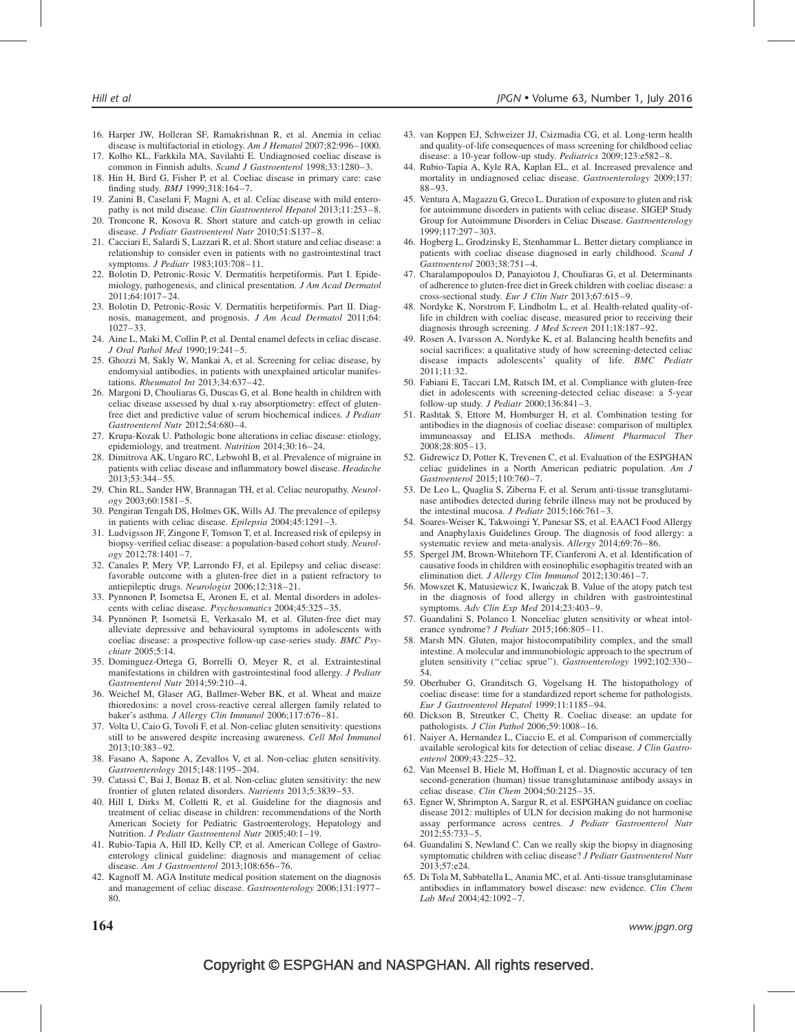- <span id="page-8-0"></span>16. Harper JW, Holleran SF, Ramakrishnan R, et al. Anemia in celiac disease is multifactorial in etiology. Am J Hematol 2007;82:996–1000.
- 17. Kolho KL, Farkkila MA, Savilahti E. Undiagnosed coeliac disease is common in Finnish adults. Scand J Gastroenterol 1998;33:1280-3.
- 18. Hin H, Bird G, Fisher P, et al. Coeliac disease in primary care: case finding study. BMJ 1999;318:164–7.
- 19. Zanini B, Caselani F, Magni A, et al. Celiac disease with mild enteropathy is not mild disease. Clin Gastroenterol Hepatol 2013;11:253-8.
- 20. Troncone R, Kosova R. Short stature and catch-up growth in celiac disease. J Pediatr Gastroenterol Nutr 2010;51:S137-8.
- 21. Cacciari E, Salardi S, Lazzari R, et al. Short stature and celiac disease: a relationship to consider even in patients with no gastrointestinal tract symptoms. *J Pediatr* 1983;103:708-11.
- 22. Bolotin D, Petronic-Rosic V. Dermatitis herpetiformis. Part I. Epidemiology, pathogenesis, and clinical presentation. J Am Acad Dermatol 2011;64:1017–24.
- 23. Bolotin D, Petronic-Rosic V. Dermatitis herpetiformis. Part II. Diagnosis, management, and prognosis. J Am Acad Dermatol 2011;64: 1027–33.
- 24. Aine L, Maki M, Collin P, et al. Dental enamel defects in celiac disease. J Oral Pathol Med 1990;19:241–5.
- 25. Ghozzi M, Sakly W, Mankai A, et al. Screening for celiac disease, by endomysial antibodies, in patients with unexplained articular manifestations. Rheumatol Int 2013;34:637–42.
- 26. Margoni D, Chouliaras G, Duscas G, et al. Bone health in children with celiac disease assessed by dual x-ray absorptiometry: effect of glutenfree diet and predictive value of serum biochemical indices. J Pediatr Gastroenterol Nutr 2012;54:680–4.
- 27. Krupa-Kozak U. Pathologic bone alterations in celiac disease: etiology, epidemiology, and treatment. Nutrition 2014;30:16-24.
- 28. Dimitrova AK, Ungaro RC, Lebwohl B, et al. Prevalence of migraine in patients with celiac disease and inflammatory bowel disease. Headache 2013;53:344–55.
- 29. Chin RL, Sander HW, Brannagan TH, et al. Celiac neuropathy. Neurology 2003;60:1581–5.
- 30. Pengiran Tengah DS, Holmes GK, Wills AJ. The prevalence of epilepsy in patients with celiac disease. Epilepsia 2004;45:1291-3.
- 31. Ludvigsson JF, Zingone F, Tomson T, et al. Increased risk of epilepsy in biopsy-verified celiac disease: a population-based cohort study. Neurology 2012;78:1401–7.
- 32. Canales P, Mery VP, Larrondo FJ, et al. Epilepsy and celiac disease: favorable outcome with a gluten-free diet in a patient refractory to antiepileptic drugs. Neurologist 2006;12:318–21.
- 33. Pynnonen P, Isometsa E, Aronen E, et al. Mental disorders in adolescents with celiac disease. Psychosomatics 2004;45:325–35.
- 34. Pynnönen P, Isometsä E, Verkasalo M, et al. Gluten-free diet may alleviate depressive and behavioural symptoms in adolescents with coeliac disease: a prospective follow-up case-series study. BMC Psychiatr 2005;5:14.
- 35. Dominguez-Ortega G, Borrelli O, Meyer R, et al. Extraintestinal manifestations in children with gastrointestinal food allergy. J Pediatr Gastroenterol Nutr 2014;59:210–4.
- 36. Weichel M, Glaser AG, Ballmer-Weber BK, et al. Wheat and maize thioredoxins: a novel cross-reactive cereal allergen family related to baker's asthma. J Allergy Clin Immunol 2006;117:676-81.
- 37. Volta U, Caio G, Tovoli F, et al. Non-celiac gluten sensitivity: questions still to be answered despite increasing awareness. Cell Mol Immunol 2013;10:383–92.
- 38. Fasano A, Sapone A, Zevallos V, et al. Non-celiac gluten sensitivity. Gastroenterology 2015;148:1195–204.
- 39. Catassi C, Bai J, Bonaz B, et al. Non-celiac gluten sensitivity: the new frontier of gluten related disorders. Nutrients 2013;5:3839–53.
- 40. Hill I, Dirks M, Colletti R, et al. Guideline for the diagnosis and treatment of celiac disease in children: recommendations of the North American Society for Pediatric Gastroenterology, Hepatology and Nutrition. J Pediatr Gastroenterol Nutr 2005;40:1–19.
- 41. Rubio-Tapia A, Hill ID, Kelly CP, et al. American College of Gastroenterology clinical guideline: diagnosis and management of celiac disease. Am J Gastroenterol 2013;108:656–76.
- 42. Kagnoff M. AGA Institute medical position statement on the diagnosis and management of celiac disease. Gastroenterology 2006;131:1977– 80.
- 43. van Koppen EJ, Schweizer JJ, Csizmadia CG, et al. Long-term health and quality-of-life consequences of mass screening for childhood celiac disease: a 10-year follow-up study. Pediatrics 2009;123:e582–8.
- 44. Rubio-Tapia A, Kyle RA, Kaplan EL, et al. Increased prevalence and mortality in undiagnosed celiac disease. Gastroenterology 2009;137: 88–93.
- 45. Ventura A, Magazzu G, Greco L. Duration of exposure to gluten and risk for autoimmune disorders in patients with celiac disease. SIGEP Study Group for Autoimmune Disorders in Celiac Disease. Gastroenterology 1999;117:297–303.
- 46. Hogberg L, Grodzinsky E, Stenhammar L. Better dietary compliance in patients with coeliac disease diagnosed in early childhood. Scand J Gastroenterol 2003;38:751–4.
- 47. Charalampopoulos D, Panayiotou J, Chouliaras G, et al. Determinants of adherence to gluten-free diet in Greek children with coeliac disease: a cross-sectional study. Eur J Clin Nutr 2013;67:615–9.
- 48. Nordyke K, Norstrom F, Lindholm L, et al. Health-related quality-oflife in children with coeliac disease, measured prior to receiving their diagnosis through screening. J Med Screen 2011;18:187–92.
- 49. Rosen A, Ivarsson A, Nordyke K, et al. Balancing health benefits and social sacrifices: a qualitative study of how screening-detected celiac disease impacts adolescents' quality of life. BMC Pediatr 2011;11:32.
- 50. Fabiani E, Taccari LM, Ratsch IM, et al. Compliance with gluten-free diet in adolescents with screening-detected celiac disease: a 5-year follow-up study. J Pediatr 2000;136:841–3.
- 51. Rashtak S, Ettore M, Homburger H, et al. Combination testing for antibodies in the diagnosis of coeliac disease: comparison of multiplex immunoassay and ELISA methods. Aliment Pharmacol Ther 2008;28:805–13.
- 52. Gidrewicz D, Potter K, Trevenen C, et al. Evaluation of the ESPGHAN celiac guidelines in a North American pediatric population. Am J Gastroenterol 2015;110:760–7.
- 53. De Leo L, Quaglia S, Ziberna F, et al. Serum anti-tissue transglutaminase antibodies detected during febrile illness may not be produced by the intestinal mucosa. J Pediatr 2015;166:761-3.
- 54. Soares-Weiser K, Takwoingi Y, Panesar SS, et al. EAACI Food Allergy and Anaphylaxis Guidelines Group. The diagnosis of food allergy: a systematic review and meta-analysis. Allergy 2014;69:76–86.
- 55. Spergel JM, Brown-Whitehorn TF, Cianferoni A, et al. Identification of causative foods in children with eosinophilic esophagitis treated with an elimination diet. J Allergy Clin Immunol 2012;130:461–7.
- 56. Mowszet K, Matusiewicz K, Iwan´czak B. Value of the atopy patch test in the diagnosis of food allergy in children with gastrointestinal symptoms. Adv Clin Exp Med 2014;23:403–9.
- 57. Guandalini S, Polanco I. Nonceliac gluten sensitivity or wheat intolerance syndrome? J Pediatr 2015;166:805–11.
- 58. Marsh MN. Gluten, major histocompatibility complex, and the small intestine. A molecular and immunobiologic approach to the spectrum of gluten sensitivity ("celiac sprue"). Gastroenterology 1992;102:330-54.
- 59. Oberhuber G, Granditsch G, Vogelsang H. The histopathology of coeliac disease: time for a standardized report scheme for pathologists. Eur J Gastroenterol Hepatol 1999;11:1185–94.
- 60. Dickson B, Streutker C, Chetty R. Coeliac disease: an update for pathologists. J Clin Pathol 2006;59:1008–16.
- 61. Naiyer A, Hernandez L, Ciaccio E, et al. Comparison of commercially available serological kits for detection of celiac disease. J Clin Gastroenterol 2009;43:225–32.
- 62. Van Meensel B, Hiele M, Hoffman I, et al. Diagnostic accuracy of ten second-generation (human) tissue transglutaminase antibody assays in celiac disease. Clin Chem 2004;50:2125–35.
- 63. Egner W, Shrimpton A, Sargur R, et al. ESPGHAN guidance on coeliac disease 2012: multiples of ULN for decision making do not harmonise assay performance across centres. J Pediatr Gastroenterol Nutr 2012;55:733–5.
- 64. Guandalini S, Newland C. Can we really skip the biopsy in diagnosing symptomatic children with celiac disease? J Pediatr Gastroenterol Nutr 2013;57:e24.
- 65. Di Tola M, Sabbatella L, Anania MC, et al. Anti-tissue transglutaminase antibodies in inflammatory bowel disease: new evidence. Clin Chem Lab Med 2004;42:1092–7.